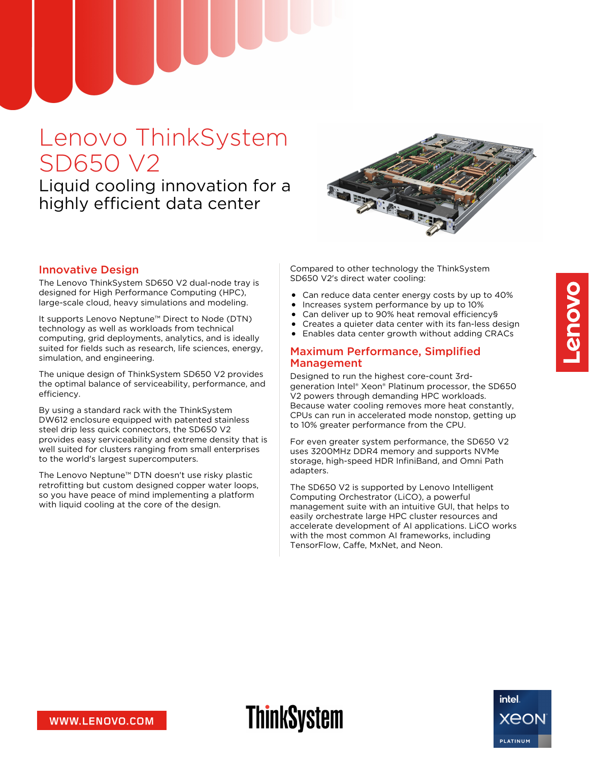# Lenovo ThinkSystem SD650 V2

Liquid cooling innovation for a highly efficient data center



#### Innovative Design

The Lenovo ThinkSystem SD650 V2 dual-node tray is designed for High Performance Computing (HPC), large-scale cloud, heavy simulations and modeling.

It supports Lenovo Neptune™ Direct to Node (DTN) technology as well as workloads from technical computing, grid deployments, analytics, and is ideally suited for fields such as research, life sciences, energy, simulation, and engineering.

The unique design of ThinkSystem SD650 V2 provides the optimal balance of serviceability, performance, and efficiency.

By using a standard rack with the ThinkSystem DW612 enclosure equipped with patented stainless steel drip less quick connectors, the SD650 V2 provides easy serviceability and extreme density that is well suited for clusters ranging from small enterprises to the world's largest supercomputers.

The Lenovo Neptune™ DTN doesn't use risky plastic retrofitting but custom designed copper water loops, so you have peace of mind implementing a platform with liquid cooling at the core of the design.

Compared to other technology the ThinkSystem SD650 V2's direct water cooling:

- Can reduce data center energy costs by up to 40%
- Increases system performance by up to 10%
- Can deliver up to 90% heat removal efficiency§
- Creates a quieter data center with its fan-less design
- Enables data center growth without adding CRACs

#### Maximum Performance, Simplified Management

Designed to run the highest core-count 3rdgeneration Intel® Xeon® Platinum processor, the SD650 V2 powers through demanding HPC workloads. Because water cooling removes more heat constantly, CPUs can run in accelerated mode nonstop, getting up to 10% greater performance from the CPU.

For even greater system performance, the SD650 V2 uses 3200MHz DDR4 memory and supports NVMe storage, high-speed HDR InfiniBand, and Omni Path adapters.

The SD650 V2 is supported by Lenovo Intelligent Computing Orchestrator (LiCO), a powerful management suite with an intuitive GUI, that helps to easily orchestrate large HPC cluster resources and accelerate development of AI applications. LiCO works with the most common AI frameworks, including TensorFlow, Caffe, MxNet, and Neon.

WWW.LENOVO.COM

# **ThinkSystem**